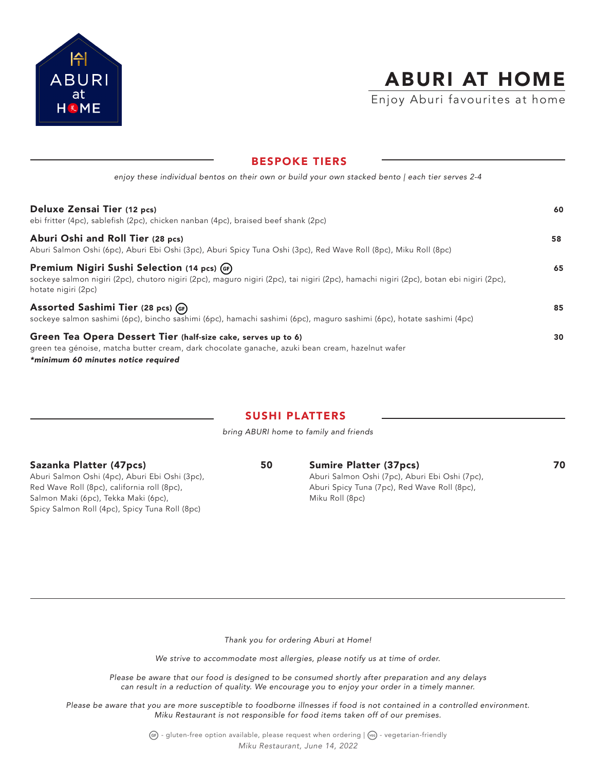

# ABURI AT HOME

Enjoy Aburi favourites at home

| 8691 VIII TILIV                                                                                                                                                                                                |    |
|----------------------------------------------------------------------------------------------------------------------------------------------------------------------------------------------------------------|----|
| enjoy these individual bentos on their own or build your own stacked bento   each tier serves 2-4                                                                                                              |    |
| Deluxe Zensai Tier (12 pcs)<br>ebi fritter (4pc), sablefish (2pc), chicken nanban (4pc), braised beef shank (2pc)                                                                                              | 60 |
| Aburi Oshi and Roll Tier (28 pcs)<br>Aburi Salmon Oshi (6pc), Aburi Ebi Oshi (3pc), Aburi Spicy Tuna Oshi (3pc), Red Wave Roll (8pc), Miku Roll (8pc)                                                          | 58 |
| Premium Nigiri Sushi Selection (14 pcs) (GF)<br>sockeye salmon nigiri (2pc), chutoro nigiri (2pc), maguro nigiri (2pc), tai nigiri (2pc), hamachi nigiri (2pc), botan ebi nigiri (2pc),<br>hotate nigiri (2pc) | 65 |
| Assorted Sashimi Tier (28 pcs) (GF)<br>sockeye salmon sashimi (6pc), bincho sashimi (6pc), hamachi sashimi (6pc), maguro sashimi (6pc), hotate sashimi (4pc)                                                   | 85 |
| Green Tea Opera Dessert Tier (half-size cake, serves up to 6)<br>green tea génoise, matcha butter cream, dark chocolate ganache, azuki bean cream, hazelnut wafer<br>*minimum 60 minutes notice required       | 30 |

BESPOKE TIERS

# SUSHI PLATTERS

*bring ABURI home to family and friends*

Sazanka Platter (47pcs) 50

Aburi Salmon Oshi (4pc), Aburi Ebi Oshi (3pc), Red Wave Roll (8pc), california roll (8pc), Salmon Maki (6pc), Tekka Maki (6pc), Spicy Salmon Roll (4pc), Spicy Tuna Roll (8pc)

Sumire Platter (37pcs) 70 Aburi Salmon Oshi (7pc), Aburi Ebi Oshi (7pc), Aburi Spicy Tuna (7pc), Red Wave Roll (8pc), Miku Roll (8pc)

*Thank you for ordering Aburi at Home!*

*We strive to accommodate most allergies, please notify us at time of order.*

*Please be aware that our food is designed to be consumed shortly after preparation and any delays can result in a reduction of quality. We encourage you to enjoy your order in a timely manner.*

*Please be aware that you are more susceptible to foodborne illnesses if food is not contained in a controlled environment. Miku Restaurant is not responsible for food items taken off of our premises.*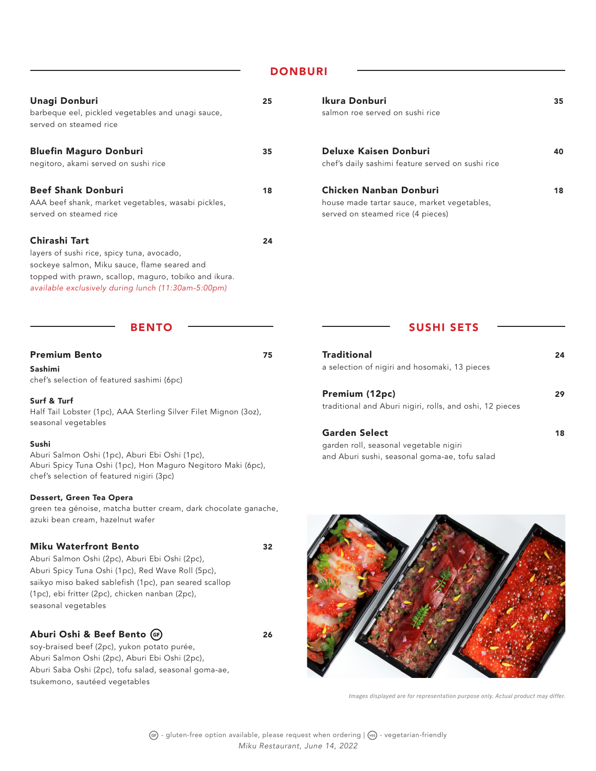# **DONBURI**

| Unagi Donburi<br>barbeque eel, pickled vegetables and unagi sauce,<br>served on steamed rice                                                                                                                                | 25 | Ikura Donburi<br>salmon roe served on sushi rice                                                           | 35 |
|-----------------------------------------------------------------------------------------------------------------------------------------------------------------------------------------------------------------------------|----|------------------------------------------------------------------------------------------------------------|----|
| <b>Bluefin Maguro Donburi</b><br>negitoro, akami served on sushi rice                                                                                                                                                       | 35 | Deluxe Kaisen Donburi<br>chef's daily sashimi feature served on sushi rice                                 | 40 |
| <b>Beef Shank Donburi</b><br>AAA beef shank, market vegetables, wasabi pickles,<br>served on steamed rice                                                                                                                   | 18 | Chicken Nanban Donburi<br>house made tartar sauce, market vegetables,<br>served on steamed rice (4 pieces) | 18 |
| Chirashi Tart<br>layers of sushi rice, spicy tuna, avocado,<br>sockeye salmon, Miku sauce, flame seared and<br>topped with prawn, scallop, maguro, tobiko and ikura.<br>available exclusively during lunch (11:30am-5:00pm) | 24 |                                                                                                            |    |

#### BENTO

| <b>Premium Bento</b> |  |
|----------------------|--|
|----------------------|--|

Sashimi chef's selection of featured sashimi (6pc)

#### Surf & Turf

Half Tail Lobster (1pc), AAA Sterling Silver Filet Mignon (3oz), seasonal vegetables

#### Sushi

Aburi Salmon Oshi (1pc), Aburi Ebi Oshi (1pc), Aburi Spicy Tuna Oshi (1pc), Hon Maguro Negitoro Maki (6pc), chef's selection of featured nigiri (3pc)

### Dessert, Green Tea Opera

green tea génoise, matcha butter cream, dark chocolate ganache, azuki bean cream, hazelnut wafer

### Miku Waterfront Bento 32

Aburi Salmon Oshi (2pc), Aburi Ebi Oshi (2pc), Aburi Spicy Tuna Oshi (1pc), Red Wave Roll (5pc), saikyo miso baked sablefish (1pc), pan seared scallop (1pc), ebi fritter (2pc), chicken nanban (2pc), seasonal vegetables

### Aburi Oshi & Beef Bento (F) 26

soy-braised beef (2pc), yukon potato purée, Aburi Salmon Oshi (2pc), Aburi Ebi Oshi (2pc), Aburi Saba Oshi (2pc), tofu salad, seasonal goma-ae, tsukemono, sautéed vegetables

| <b>SAILIUIL LUE SELVEU UIL SUSIIL LILE</b>                                                                 |    |
|------------------------------------------------------------------------------------------------------------|----|
| Deluxe Kaisen Donburi<br>chef's daily sashimi feature served on sushi rice                                 | 40 |
| Chicken Nanban Donburi<br>house made tartar sauce, market vegetables,<br>served on steamed rice (4 pieces) | 18 |

### SUSHI SETS

| <b>Traditional</b><br>a selection of nigiri and hosomaki, 13 pieces        | 24 |
|----------------------------------------------------------------------------|----|
| Premium (12pc)<br>traditional and Aburi nigiri, rolls, and oshi, 12 pieces | 29 |
| <b>Garden Select</b><br>garden roll, seasonal vegetable nigiri             | 18 |

and Aburi sushi, seasonal goma-ae, tofu salad



*Images displayed are for representation purpose only. Actual product may differ.*

 $GF - gluten-free option available, please request when ordering | (vs) - vegetation-friendly$ *Miku Restaurant, June 14, 2022*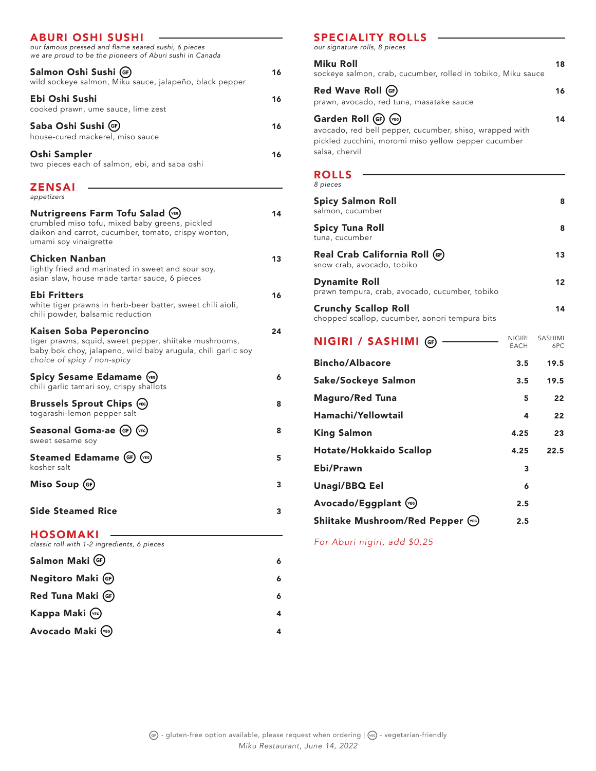| <b>ABURI OSHI SUSHI</b><br>our famous pressed and flame seared sushi, 6 pieces<br>we are proud to be the pioneers of Aburi sushi in Canada                                       |    |
|----------------------------------------------------------------------------------------------------------------------------------------------------------------------------------|----|
| Salmon Oshi Sushi (GF)<br>wild sockeye salmon, Miku sauce, jalapeño, black pepper                                                                                                | 16 |
| Ebi Oshi Sushi<br>cooked prawn, ume sauce, lime zest                                                                                                                             | 16 |
| Saba Oshi Sushi (GF)<br>house-cured mackerel, miso sauce                                                                                                                         | 16 |
| Oshi Sampler<br>two pieces each of salmon, ebi, and saba oshi                                                                                                                    | 16 |
| ZENSAI<br>appetizers                                                                                                                                                             |    |
| <b>Nutrigreens Farm Tofu Salad (VEG)</b><br>crumbled miso tofu, mixed baby greens, pickled<br>daikon and carrot, cucumber, tomato, crispy wonton,<br>umami soy vinaigrette       | 14 |
| Chicken Nanban<br>lightly fried and marinated in sweet and sour soy,<br>asian slaw, house made tartar sauce, 6 pieces                                                            | 13 |
| Ebi Fritters<br>white tiger prawns in herb-beer batter, sweet chili aioli,<br>chili powder, balsamic reduction                                                                   | 16 |
| Kaisen Soba Peperoncino<br>tiger prawns, squid, sweet pepper, shiitake mushrooms,<br>baby bok choy, jalapeno, wild baby arugula, chili garlic soy<br>choice of spicy / non-spicy | 24 |
| <b>Spicy Sesame Edamame (YEG)</b><br>chili garlic tamari soy, crispy shallots                                                                                                    | 6  |
| <b>Brussels Sprout Chips (YEG)</b><br>togarashi-lemon pepper salt                                                                                                                | 8  |
| Seasonal Goma-ae (GF)<br>(VEG)<br>sweet sesame soy                                                                                                                               | 8  |
| Steamed Edamame (GF)<br>(VEG)<br>kosher salt                                                                                                                                     | 5  |
| Miso Soup (GF)                                                                                                                                                                   | 3  |
| <b>Side Steamed Rice</b>                                                                                                                                                         | 3  |
| <b>HOSOMAKI</b><br>classic roll with 1-2 ingredients, 6 pieces                                                                                                                   |    |
| Salmon Maki (GF)                                                                                                                                                                 | 6  |
| Negitoro Maki (GF)                                                                                                                                                               | 6  |
| Red Tuna Maki (GF)                                                                                                                                                               | 6  |

Kappa Maki <sup>(cc)</sup> and the set of the set of the set of the set of the set of the set of the set of the set of the set of the set of the set of the set of the set of the set of the set of the set of the set of the set of th Avocado Maki <sup>(EG)</sup> 4

# SPECIALITY ROLLS

| our signature rolls, 8 pieces                                                                                                                               |                              |                       |
|-------------------------------------------------------------------------------------------------------------------------------------------------------------|------------------------------|-----------------------|
| Miku Roll<br>sockeye salmon, crab, cucumber, rolled in tobiko, Miku sauce                                                                                   |                              | 18                    |
| Red Wave Roll (GF)<br>prawn, avocado, red tuna, masatake sauce                                                                                              |                              | 16                    |
| Garden Roll (GF) (VEG)<br>avocado, red bell pepper, cucumber, shiso, wrapped with<br>pickled zucchini, moromi miso yellow pepper cucumber<br>salsa, chervil |                              | 14                    |
| <b>ROLLS</b><br>8 pieces                                                                                                                                    |                              |                       |
| <b>Spicy Salmon Roll</b><br>salmon, cucumber                                                                                                                |                              | 8                     |
| <b>Spicy Tuna Roll</b><br>tuna, cucumber                                                                                                                    |                              | 8                     |
| Real Crab California Roll (GF)<br>snow crab, avocado, tobiko                                                                                                |                              | 13                    |
| <b>Dynamite Roll</b><br>prawn tempura, crab, avocado, cucumber, tobiko                                                                                      |                              | 12                    |
| <b>Crunchy Scallop Roll</b><br>chopped scallop, cucumber, aonori tempura bits                                                                               |                              | 14                    |
| <b>NIGIRI / SASHIMI</b> (F)                                                                                                                                 | <b>NIGIRI</b><br><b>EACH</b> | <b>SASHIMI</b><br>6PC |
| <b>Bincho/Albacore</b>                                                                                                                                      | 3.5                          | 19.5                  |
| Sake/Sockeye Salmon                                                                                                                                         | 3.5                          | 19.5                  |
| <b>Maguro/Red Tuna</b>                                                                                                                                      | 5                            | 22                    |
| Hamachi/Yellowtail                                                                                                                                          | 4                            | 22                    |
| <b>King Salmon</b>                                                                                                                                          | 4.25                         | 23                    |
| Hotate/Hokkaido Scallop                                                                                                                                     | 4.25                         | 22.5                  |
| Ebi/Prawn                                                                                                                                                   | 3                            |                       |
| Unagi/BBQ Eel                                                                                                                                               | 6                            |                       |

Shiitake Mushroom/Red Pepper (%) 2.5

Avocado/Eggplant (%) 2.5

*For Aburi nigiri, add \$0.25*